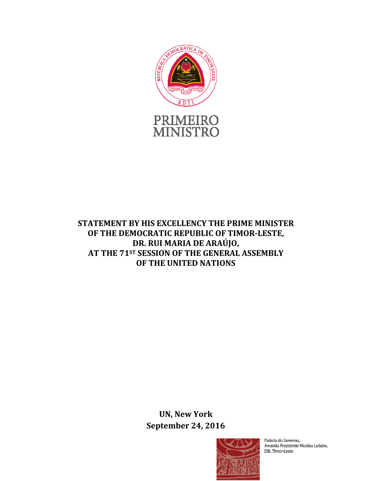

# **STATEMENT BY HIS EXCELLENCY THE PRIME MINISTER OF THE DEMOCRATIC REPUBLIC OF TIMOR-LESTE, DR. RUI MARIA DE ARAÚJO, AT THE 71ST SESSION OF THE GENERAL ASSEMBLY OF THE UNITED NATIONS**

**UN, New York September 24, 2016** 



Palácio do Governo, Avenida Presidente Nicolau Lobato, Dili, Timor-Leste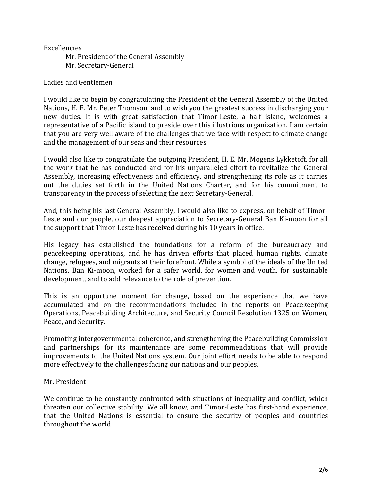## Excellencies

 Mr. President of the General Assembly Mr. Secretary-General

## Ladies and Gentlemen

I would like to begin by congratulating the President of the General Assembly of the United Nations, H. E. Mr. Peter Thomson, and to wish you the greatest success in discharging your new duties. It is with great satisfaction that Timor-Leste, a half island, welcomes a representative of a Pacific island to preside over this illustrious organization. I am certain that you are very well aware of the challenges that we face with respect to climate change and the management of our seas and their resources.

I would also like to congratulate the outgoing President, H. E. Mr. Mogens Lykketoft, for all the work that he has conducted and for his unparalleled effort to revitalize the General Assembly, increasing effectiveness and efficiency, and strengthening its role as it carries out the duties set forth in the United Nations Charter, and for his commitment to transparency in the process of selecting the next Secretary-General.

And, this being his last General Assembly, I would also like to express, on behalf of Timor-Leste and our people, our deepest appreciation to Secretary-General Ban Ki-moon for all the support that Timor-Leste has received during his 10 years in office.

His legacy has established the foundations for a reform of the bureaucracy and peacekeeping operations, and he has driven efforts that placed human rights, climate change, refugees, and migrants at their forefront. While a symbol of the ideals of the United Nations, Ban Ki-moon, worked for a safer world, for women and youth, for sustainable development, and to add relevance to the role of prevention.

This is an opportune moment for change, based on the experience that we have accumulated and on the recommendations included in the reports on Peacekeeping Operations, Peacebuilding Architecture, and Security Council Resolution 1325 on Women, Peace, and Security.

Promoting intergovernmental coherence, and strengthening the Peacebuilding Commission and partnerships for its maintenance are some recommendations that will provide improvements to the United Nations system. Our joint effort needs to be able to respond more effectively to the challenges facing our nations and our peoples.

## Mr. President

We continue to be constantly confronted with situations of inequality and conflict, which threaten our collective stability. We all know, and Timor-Leste has first-hand experience, that the United Nations is essential to ensure the security of peoples and countries throughout the world.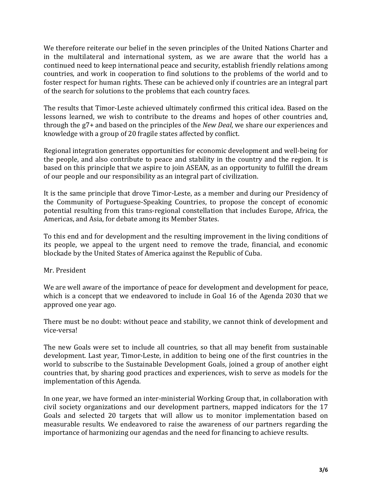We therefore reiterate our belief in the seven principles of the United Nations Charter and in the multilateral and international system, as we are aware that the world has a continued need to keep international peace and security, establish friendly relations among countries, and work in cooperation to find solutions to the problems of the world and to foster respect for human rights. These can be achieved only if countries are an integral part of the search for solutions to the problems that each country faces.

The results that Timor-Leste achieved ultimately confirmed this critical idea. Based on the lessons learned, we wish to contribute to the dreams and hopes of other countries and, through the g7+ and based on the principles of the *New Deal*, we share our experiences and knowledge with a group of 20 fragile states affected by conflict.

Regional integration generates opportunities for economic development and well-being for the people, and also contribute to peace and stability in the country and the region. It is based on this principle that we aspire to join ASEAN, as an opportunity to fulfill the dream of our people and our responsibility as an integral part of civilization.

It is the same principle that drove Timor-Leste, as a member and during our Presidency of the Community of Portuguese-Speaking Countries, to propose the concept of economic potential resulting from this trans-regional constellation that includes Europe, Africa, the Americas, and Asia, for debate among its Member States.

To this end and for development and the resulting improvement in the living conditions of its people, we appeal to the urgent need to remove the trade, financial, and economic blockade by the United States of America against the Republic of Cuba.

## Mr. President

We are well aware of the importance of peace for development and development for peace, which is a concept that we endeavored to include in Goal 16 of the Agenda 2030 that we approved one year ago.

There must be no doubt: without peace and stability, we cannot think of development and vice-versa!

The new Goals were set to include all countries, so that all may benefit from sustainable development. Last year, Timor-Leste, in addition to being one of the first countries in the world to subscribe to the Sustainable Development Goals, joined a group of another eight countries that, by sharing good practices and experiences, wish to serve as models for the implementation of this Agenda.

In one year, we have formed an inter-ministerial Working Group that, in collaboration with civil society organizations and our development partners, mapped indicators for the 17 Goals and selected 20 targets that will allow us to monitor implementation based on measurable results. We endeavored to raise the awareness of our partners regarding the importance of harmonizing our agendas and the need for financing to achieve results.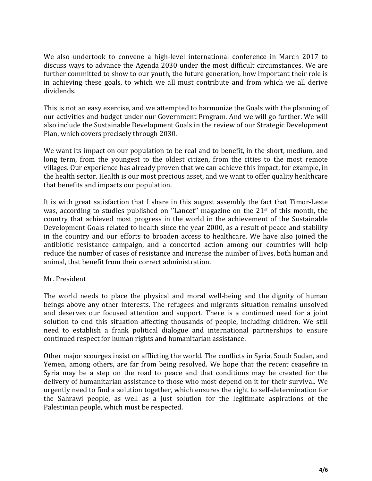We also undertook to convene a high-level international conference in March 2017 to discuss ways to advance the Agenda 2030 under the most difficult circumstances. We are further committed to show to our youth, the future generation, how important their role is in achieving these goals, to which we all must contribute and from which we all derive dividends.

This is not an easy exercise, and we attempted to harmonize the Goals with the planning of our activities and budget under our Government Program. And we will go further. We will also include the Sustainable Development Goals in the review of our Strategic Development Plan, which covers precisely through 2030.

We want its impact on our population to be real and to benefit, in the short, medium, and long term, from the youngest to the oldest citizen, from the cities to the most remote villages. Our experience has already proven that we can achieve this impact, for example, in the health sector. Health is our most precious asset, and we want to offer quality healthcare that benefits and impacts our population.

It is with great satisfaction that I share in this august assembly the fact that Timor-Leste was, according to studies published on ''Lancet'' magazine on the 21st of this month, the country that achieved most progress in the world in the achievement of the Sustainable Development Goals related to health since the year 2000, as a result of peace and stability in the country and our efforts to broaden access to healthcare. We have also joined the antibiotic resistance campaign, and a concerted action among our countries will help reduce the number of cases of resistance and increase the number of lives, both human and animal, that benefit from their correct administration.

## Mr. President

The world needs to place the physical and moral well-being and the dignity of human beings above any other interests. The refugees and migrants situation remains unsolved and deserves our focused attention and support. There is a continued need for a joint solution to end this situation affecting thousands of people, including children. We still need to establish a frank political dialogue and international partnerships to ensure continued respect for human rights and humanitarian assistance.

Other major scourges insist on afflicting the world. The conflicts in Syria, South Sudan, and Yemen, among others, are far from being resolved. We hope that the recent ceasefire in Syria may be a step on the road to peace and that conditions may be created for the delivery of humanitarian assistance to those who most depend on it for their survival. We urgently need to find a solution together, which ensures the right to self-determination for the Sahrawi people, as well as a just solution for the legitimate aspirations of the Palestinian people, which must be respected.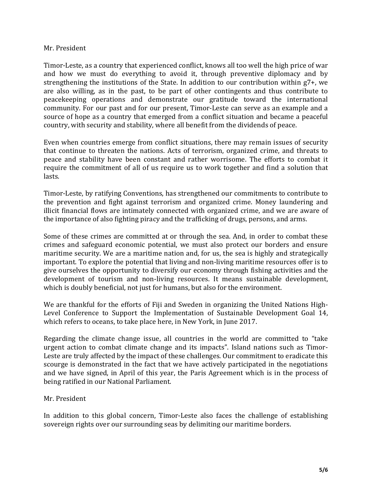### Mr. President

Timor-Leste, as a country that experienced conflict, knows all too well the high price of war and how we must do everything to avoid it, through preventive diplomacy and by strengthening the institutions of the State. In addition to our contribution within g7+, we are also willing, as in the past, to be part of other contingents and thus contribute to peacekeeping operations and demonstrate our gratitude toward the international community. For our past and for our present, Timor-Leste can serve as an example and a source of hope as a country that emerged from a conflict situation and became a peaceful country, with security and stability, where all benefit from the dividends of peace.

Even when countries emerge from conflict situations, there may remain issues of security that continue to threaten the nations. Acts of terrorism, organized crime, and threats to peace and stability have been constant and rather worrisome. The efforts to combat it require the commitment of all of us require us to work together and find a solution that lasts.

Timor-Leste, by ratifying Conventions, has strengthened our commitments to contribute to the prevention and fight against terrorism and organized crime. Money laundering and illicit financial flows are intimately connected with organized crime, and we are aware of the importance of also fighting piracy and the trafficking of drugs, persons, and arms.

Some of these crimes are committed at or through the sea. And, in order to combat these crimes and safeguard economic potential, we must also protect our borders and ensure maritime security. We are a maritime nation and, for us, the sea is highly and strategically important. To explore the potential that living and non-living maritime resources offer is to give ourselves the opportunity to diversify our economy through fishing activities and the development of tourism and non-living resources. It means sustainable development, which is doubly beneficial, not just for humans, but also for the environment.

We are thankful for the efforts of Fiji and Sweden in organizing the United Nations High-Level Conference to Support the Implementation of Sustainable Development Goal 14, which refers to oceans, to take place here, in New York, in June 2017.

Regarding the climate change issue, all countries in the world are committed to "take urgent action to combat climate change and its impacts". Island nations such as Timor-Leste are truly affected by the impact of these challenges. Our commitment to eradicate this scourge is demonstrated in the fact that we have actively participated in the negotiations and we have signed, in April of this year, the Paris Agreement which is in the process of being ratified in our National Parliament.

## Mr. President

In addition to this global concern, Timor-Leste also faces the challenge of establishing sovereign rights over our surrounding seas by delimiting our maritime borders.